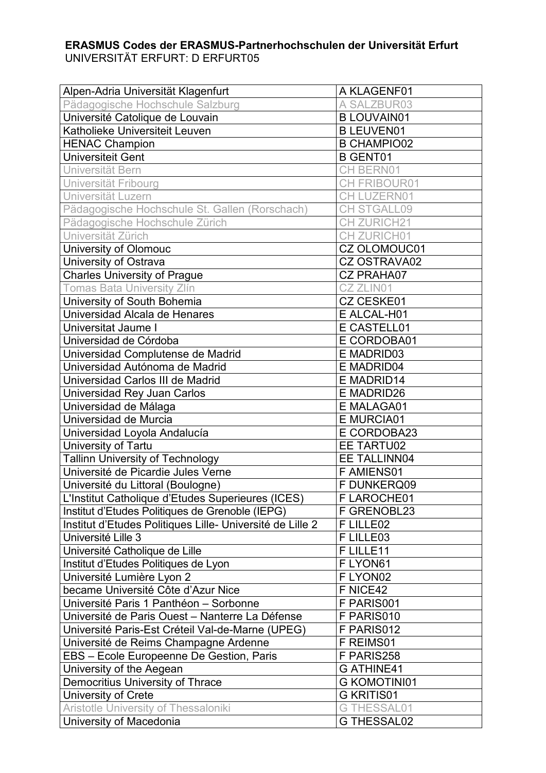## **ERASMUS Codes der ERASMUS-Partnerhochschulen der Universität Erfurt** UNIVERSITÄT ERFURT: D ERFURT05

| Alpen-Adria Universität Klagenfurt                        | A KLAGENF01         |
|-----------------------------------------------------------|---------------------|
| Pädagogische Hochschule Salzburg                          | A SALZBUR03         |
| Université Catolique de Louvain                           | <b>B LOUVAIN01</b>  |
| Katholieke Universiteit Leuven                            | <b>B LEUVEN01</b>   |
| <b>HENAC Champion</b>                                     | <b>B CHAMPIO02</b>  |
| <b>Universiteit Gent</b>                                  | <b>B GENT01</b>     |
| Universität Bern                                          | <b>CH BERN01</b>    |
| Universität Fribourg                                      | CH FRIBOUR01        |
| Universität Luzern                                        | <b>CH LUZERN01</b>  |
| Pädagogische Hochschule St. Gallen (Rorschach)            | CH STGALL09         |
| Pädagogische Hochschule Zürich                            | <b>CH ZURICH21</b>  |
| Universität Zürich                                        | CH ZURICH01         |
| <b>University of Olomouc</b>                              | CZ OLOMOUC01        |
| University of Ostrava                                     | <b>CZ OSTRAVA02</b> |
| <b>Charles University of Prague</b>                       | <b>CZ PRAHA07</b>   |
| <b>Tomas Bata University Zlín</b>                         | CZ ZLIN01           |
| University of South Bohemia                               | <b>CZ CESKE01</b>   |
| Universidad Alcala de Henares                             | E ALCAL-H01         |
| Universitat Jaume I                                       | E CASTELL01         |
| Universidad de Córdoba                                    | E CORDOBA01         |
| Universidad Complutense de Madrid                         | E MADRID03          |
| Universidad Autónoma de Madrid                            | E MADRID04          |
| Universidad Carlos III de Madrid                          | E MADRID14          |
| Universidad Rey Juan Carlos                               | <b>E MADRID26</b>   |
| Universidad de Málaga                                     | E MALAGA01          |
| Universidad de Murcia                                     | <b>E MURCIA01</b>   |
| Universidad Loyola Andalucía                              | E CORDOBA23         |
| University of Tartu                                       | EE TARTU02          |
| Tallinn University of Technology                          | EE TALLINN04        |
| Université de Picardie Jules Verne                        | F AMIENS01          |
| Université du Littoral (Boulogne)                         | F DUNKERQ09         |
| L'Institut Catholique d'Etudes Superieures (ICES)         | F LAROCHE01         |
| Institut d'Etudes Politiques de Grenoble (IEPG)           | F GRENOBL23         |
| Institut d'Etudes Politiques Lille- Université de Lille 2 | F LILLE02           |
| Université Lille 3                                        | F LILLE03           |
| Université Catholique de Lille                            | F LILLE11           |
| Institut d'Etudes Politiques de Lyon                      | F LYON61            |
| Université Lumière Lyon 2                                 | F LYON02            |
| became Université Côte d'Azur Nice                        | F NICE42            |
| Université Paris 1 Panthéon - Sorbonne                    | F PARIS001          |
| Université de Paris Ouest - Nanterre La Défense           | F PARIS010          |
| Université Paris-Est Créteil Val-de-Marne (UPEG)          | F PARIS012          |
| Université de Reims Champagne Ardenne                     | F REIMS01           |
| EBS - Ecole Europeenne De Gestion, Paris                  | F PARIS258          |
| University of the Aegean                                  | <b>GATHINE41</b>    |
| Democritius University of Thrace                          | <b>G KOMOTINI01</b> |
| University of Crete                                       | <b>G KRITIS01</b>   |
| <b>Aristotle University of Thessaloniki</b>               | <b>G THESSAL01</b>  |
| University of Macedonia                                   | <b>G THESSAL02</b>  |